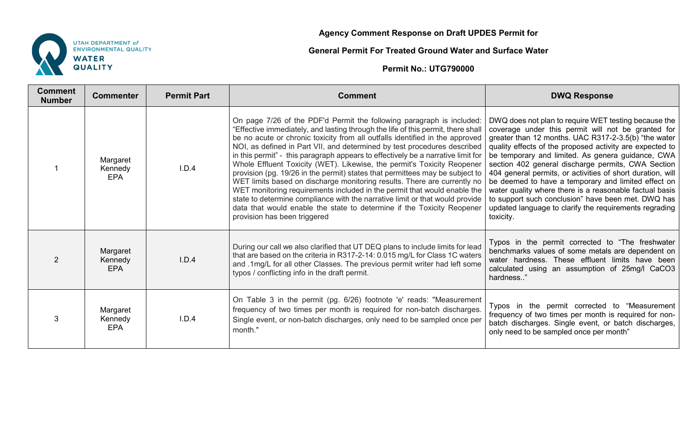

## **Agency Comment Response on Draft UPDES Permit for**

## **General Permit For Treated Ground Water and Surface Water**

**Permit No.: UTG790000** 

| <b>Comment</b><br><b>Number</b> | <b>Commenter</b>                  | <b>Permit Part</b> | <b>Comment</b>                                                                                                                                                                                                                                                                                                                                                                                                                                                                                                                                                                                                                                                                                                                                                                                                                                                                                                         | <b>DWQ Response</b>                                                                                                                                                                                                                                                                                                                                                                                                                                                                                                                                                                                                                                    |
|---------------------------------|-----------------------------------|--------------------|------------------------------------------------------------------------------------------------------------------------------------------------------------------------------------------------------------------------------------------------------------------------------------------------------------------------------------------------------------------------------------------------------------------------------------------------------------------------------------------------------------------------------------------------------------------------------------------------------------------------------------------------------------------------------------------------------------------------------------------------------------------------------------------------------------------------------------------------------------------------------------------------------------------------|--------------------------------------------------------------------------------------------------------------------------------------------------------------------------------------------------------------------------------------------------------------------------------------------------------------------------------------------------------------------------------------------------------------------------------------------------------------------------------------------------------------------------------------------------------------------------------------------------------------------------------------------------------|
|                                 | Margaret<br>Kennedy<br><b>EPA</b> | I.D.4              | On page 7/26 of the PDF'd Permit the following paragraph is included:<br>"Effective immediately, and lasting through the life of this permit, there shall<br>be no acute or chronic toxicity from all outfalls identified in the approved<br>NOI, as defined in Part VII, and determined by test procedures described<br>in this permit" - this paragraph appears to effectively be a narrative limit for<br>Whole Effluent Toxicity (WET). Likewise, the permit's Toxicity Reopener<br>provision (pg. 19/26 in the permit) states that permittees may be subject to<br>WET limits based on discharge monitoring results. There are currently no<br>WET monitoring requirements included in the permit that would enable the<br>state to determine compliance with the narrative limit or that would provide<br>data that would enable the state to determine if the Toxicity Reopener<br>provision has been triggered | DWQ does not plan to require WET testing because the<br>coverage under this permit will not be granted for<br>greater than 12 months. UAC R317-2-3.5(b) "the water<br>quality effects of the proposed activity are expected to<br>be temporary and limited. As genera guidance, CWA<br>section 402 general discharge permits, CWA Section<br>404 general permits, or activities of short duration, will<br>be deemed to have a temporary and limited effect on<br>water quality where there is a reasonable factual basis<br>to support such conclusion" have been met. DWQ has<br>updated language to clarify the requirements regrading<br>toxicity. |
| 2                               | Margaret<br>Kennedy<br><b>EPA</b> | I.D.4              | During our call we also clarified that UT DEQ plans to include limits for lead<br>that are based on the criteria in R317-2-14: 0.015 mg/L for Class 1C waters<br>and .1mg/L for all other Classes. The previous permit writer had left some<br>typos / conflicting info in the draft permit.                                                                                                                                                                                                                                                                                                                                                                                                                                                                                                                                                                                                                           | Typos in the permit corrected to "The freshwater<br>benchmarks values of some metals are dependent on<br>water hardness. These effluent limits have been<br>calculated using an assumption of 25mg/l CaCO3<br>hardness"                                                                                                                                                                                                                                                                                                                                                                                                                                |
| 3                               | Margaret<br>Kennedy<br><b>EPA</b> | I.D.4              | On Table 3 in the permit (pg. 6/26) footnote 'e' reads: "Measurement<br>frequency of two times per month is required for non-batch discharges.<br>Single event, or non-batch discharges, only need to be sampled once per<br>month."                                                                                                                                                                                                                                                                                                                                                                                                                                                                                                                                                                                                                                                                                   | Typos in the permit corrected to "Measurement<br>frequency of two times per month is required for non-<br>batch discharges. Single event, or batch discharges,<br>only need to be sampled once per month"                                                                                                                                                                                                                                                                                                                                                                                                                                              |